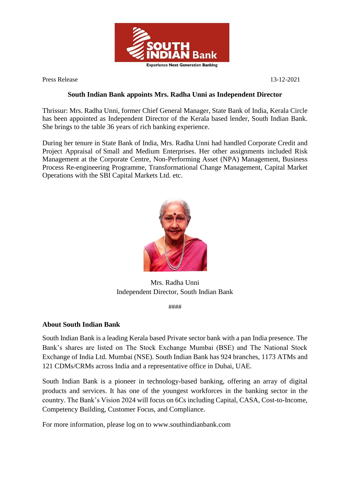

Press Release 13-12-2021

## **South Indian Bank appoints Mrs. Radha Unni as Independent Director**

Thrissur: Mrs. Radha Unni, former Chief General Manager, State Bank of India, Kerala Circle has been appointed as Independent Director of the Kerala based lender, South Indian Bank. She brings to the table 36 years of rich banking experience.

During her tenure in State Bank of India, Mrs. Radha Unni had handled Corporate Credit and Project Appraisal of Small and Medium Enterprises. Her other assignments included Risk Management at the Corporate Centre, Non-Performing Asset (NPA) Management, Business Process Re-engineering Programme, Transformational Change Management, Capital Market Operations with the SBI Capital Markets Ltd. etc.



Mrs. Radha Unni Independent Director, South Indian Bank

####

## **About South Indian Bank**

South Indian Bank is a leading Kerala based Private sector bank with a pan India presence. The Bank's shares are listed on The Stock Exchange Mumbai (BSE) and The National Stock Exchange of India Ltd. Mumbai (NSE). South Indian Bank has 924 branches, 1173 ATMs and 121 CDMs/CRMs across India and a representative office in Dubai, UAE.

South Indian Bank is a pioneer in technology-based banking, offering an array of digital products and services. It has one of the youngest workforces in the banking sector in the country. The Bank's Vision 2024 will focus on 6Cs including Capital, CASA, Cost-to-Income, Competency Building, Customer Focus, and Compliance.

For more information, please log on to www.southindianbank.com